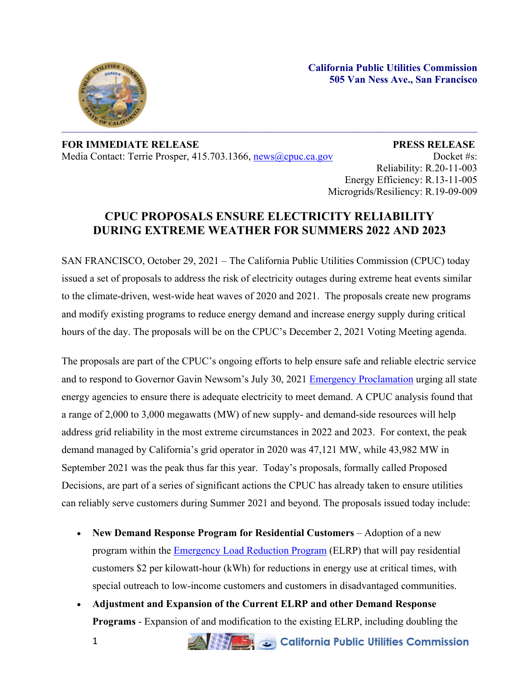**California Public Utilities Commission 505 Van Ness Ave., San Francisco**



**FOR IMMEDIATE RELEASE PRESS RELEASE** Media Contact: Terrie Prosper, 415.703.1366, [news@cpuc.ca.gov](mailto:news@cpuc.ca.gov) Docket #s:

Reliability: R.20-11-003 Energy Efficiency: R.13-11-005 Microgrids/Resiliency: R.19-09-009

## **CPUC PROPOSALS ENSURE ELECTRICITY RELIABILITY DURING EXTREME WEATHER FOR SUMMERS 2022 AND 2023**

SAN FRANCISCO, October 29, 2021 – The California Public Utilities Commission (CPUC) today issued a set of proposals to address the risk of electricity outages during extreme heat events similar to the climate-driven, west-wide heat waves of 2020 and 2021. The proposals create new programs and modify existing programs to reduce energy demand and increase energy supply during critical hours of the day. The proposals will be on the CPUC's December 2, 2021 Voting Meeting agenda.

The proposals are part of the CPUC's ongoing efforts to help ensure safe and reliable electric service and to respond to Governor Gavin Newsom's July 30, 2021 Emergency [Proclamation](https://www.gov.ca.gov/wp-content/uploads/2021/07/Energy-Emergency-Proc-7-30-21.pdf) urging all state energy agencies to ensure there is adequate electricity to meet demand. A CPUC analysis found that a range of 2,000 to 3,000 megawatts (MW) of new supply- and demand-side resources will help address grid reliability in the most extreme circumstances in 2022 and 2023. For context, the peak demand managed by California's grid operator in 2020 was 47,121 MW, while 43,982 MW in September 2021 was the peak thus far this year. Today's proposals, formally called Proposed Decisions, are part of a series of significant actions the CPUC has already taken to ensure utilities can reliably serve customers during Summer 2021 and beyond. The proposals issued today include:

- **New Demand Response Program for Residential Customers** Adoption of a new program within the **[Emergency](https://www.cpuc.ca.gov/industries-and-topics/electrical-energy/electric-costs/demand-response-dr/emergency-load-reduction-program) Load Reduction Program** (ELRP) that will pay residential customers \$2 per kilowatt-hour (kWh) for reductions in energy use at critical times, with special outreach to low-income customers and customers in disadvantaged communities.
- **Adjustment and Expansion of the Current ELRP and other Demand Response Programs** - Expansion of and modification to the existing ELRP, including doubling the

**ANGELO California Public Utilities Commission**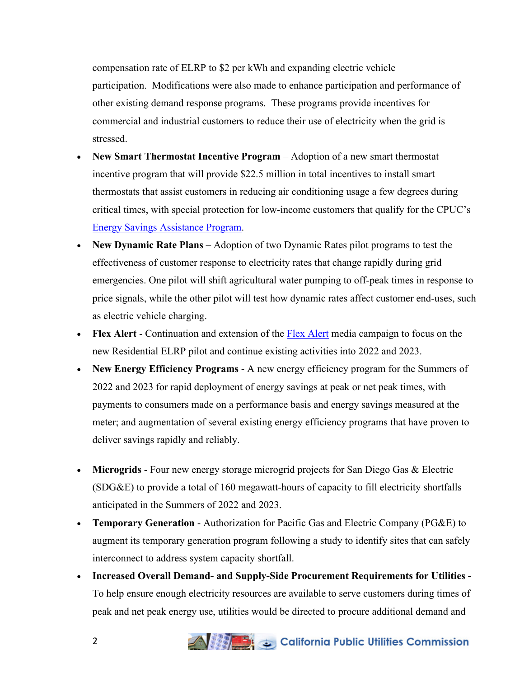compensation rate of ELRP to \$2 per kWh and expanding electric vehicle participation. Modifications were also made to enhance participation and performance of other existing demand response programs. These programs provide incentives for commercial and industrial customers to reduce their use of electricity when the grid is stressed.

- **New Smart Thermostat Incentive Program** Adoption of a new smart thermostat incentive program that will provide \$22.5 million in total incentives to install smart thermostats that assist customers in reducing air conditioning usage a few degrees during critical times, with special protection for low-income customers that qualify for the CPUC's Energy Savings [Assistance](https://www.cpuc.ca.gov/consumer-support/financial-assistance-savings-and-discounts/energy-savings-assistance) Program.
- **New Dynamic Rate Plans** Adoption of two Dynamic Rates pilot programs to test the effectiveness of customer response to electricity rates that change rapidly during grid emergencies. One pilot will shift agricultural water pumping to off-peak times in response to price signals, while the other pilot will test how dynamic rates affect customer end-uses, such as electric vehicle charging.
- **Flex Alert** Continuation and extension of the Flex [Alert](https://www.flexalert.org/) media campaign to focus on the new Residential ELRP pilot and continue existing activities into 2022 and 2023.
- **New Energy Efficiency Programs** A new energy efficiency program for the Summers of 2022 and 2023 for rapid deployment of energy savings at peak or net peak times, with payments to consumers made on a performance basis and energy savings measured at the meter; and augmentation of several existing energy efficiency programs that have proven to deliver savings rapidly and reliably.
- **Microgrids** Four new energy storage microgrid projects for San Diego Gas & Electric (SDG&E) to provide a total of 160 megawatt-hours of capacity to fill electricity shortfalls anticipated in the Summers of 2022 and 2023.
- **Temporary Generation** Authorization for Pacific Gas and Electric Company (PG&E) to augment its temporary generation program following a study to identify sites that can safely interconnect to address system capacity shortfall.
- **Increased Overall Demand- and Supply-Side Procurement Requirements for Utilities -** To help ensure enough electricity resources are available to serve customers during times of peak and net peak energy use, utilities would be directed to procure additional demand and



## California Public Utilities Commission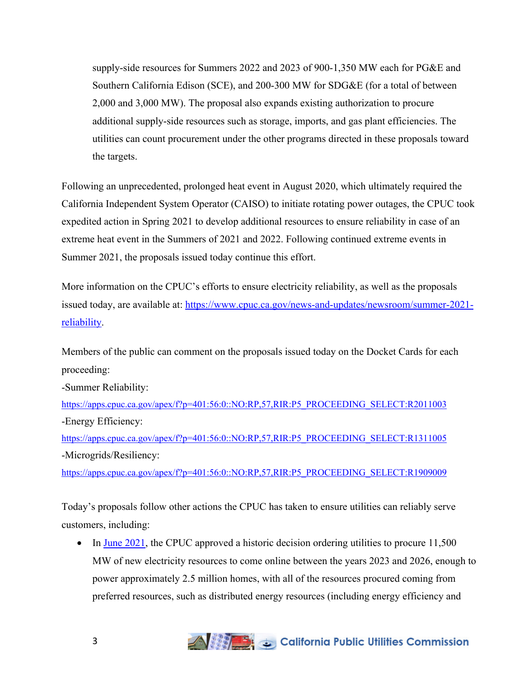supply-side resources for Summers 2022 and 2023 of 900-1,350 MW each for PG&E and Southern California Edison (SCE), and 200-300 MW for SDG&E (for a total of between 2,000 and 3,000 MW). The proposal also expands existing authorization to procure additional supply-side resources such as storage, imports, and gas plant efficiencies. The utilities can count procurement under the other programs directed in these proposals toward the targets.

Following an unprecedented, prolonged heat event in August 2020, which ultimately required the California Independent System Operator (CAISO) to initiate rotating power outages, the CPUC took expedited action in Spring 2021 to develop additional resources to ensure reliability in case of an extreme heat event in the Summers of 2021 and 2022. Following continued extreme events in Summer 2021, the proposals issued today continue this effort.

More information on the CPUC's efforts to ensure electricity reliability, as well as the proposals issued today, are available at: [https://www.cpuc.ca.gov/news-and-updates/newsroom/summer-2021](https://www.cpuc.ca.gov/news-and-updates/newsroom/summer-2021-reliability) [reliability.](https://www.cpuc.ca.gov/news-and-updates/newsroom/summer-2021-reliability)

Members of the public can comment on the proposals issued today on the Docket Cards for each proceeding:

-Summer Reliability:

[https://apps.cpuc.ca.gov/apex/f?p=401:56:0::NO:RP,57,RIR:P5\\_PROCEEDING\\_SELECT:R2011003](https://apps.cpuc.ca.gov/apex/f?p=401:56:0::NO:RP,57,RIR:P5_PROCEEDING_SELECT:R2011003) -Energy Efficiency:

[https://apps.cpuc.ca.gov/apex/f?p=401:56:0::NO:RP,57,RIR:P5\\_PROCEEDING\\_SELECT:R1311005](https://apps.cpuc.ca.gov/apex/f?p=401:56:0::NO:RP,57,RIR:P5_PROCEEDING_SELECT:R1311005) -Microgrids/Resiliency:

[https://apps.cpuc.ca.gov/apex/f?p=401:56:0::NO:RP,57,RIR:P5\\_PROCEEDING\\_SELECT:R1909009](https://apps.cpuc.ca.gov/apex/f?p=401:56:0::NO:RP,57,RIR:P5_PROCEEDING_SELECT:R1909009)

Today's proposals follow other actions the CPUC has taken to ensure utilities can reliably serve customers, including:

In June  $2021$ , the CPUC approved a historic decision ordering utilities to procure  $11,500$ MW of new electricity resources to come online between the years 2023 and 2026, enough to power approximately 2.5 million homes, with all of the resources procured coming from preferred resources, such as distributed energy resources (including energy efficiency and